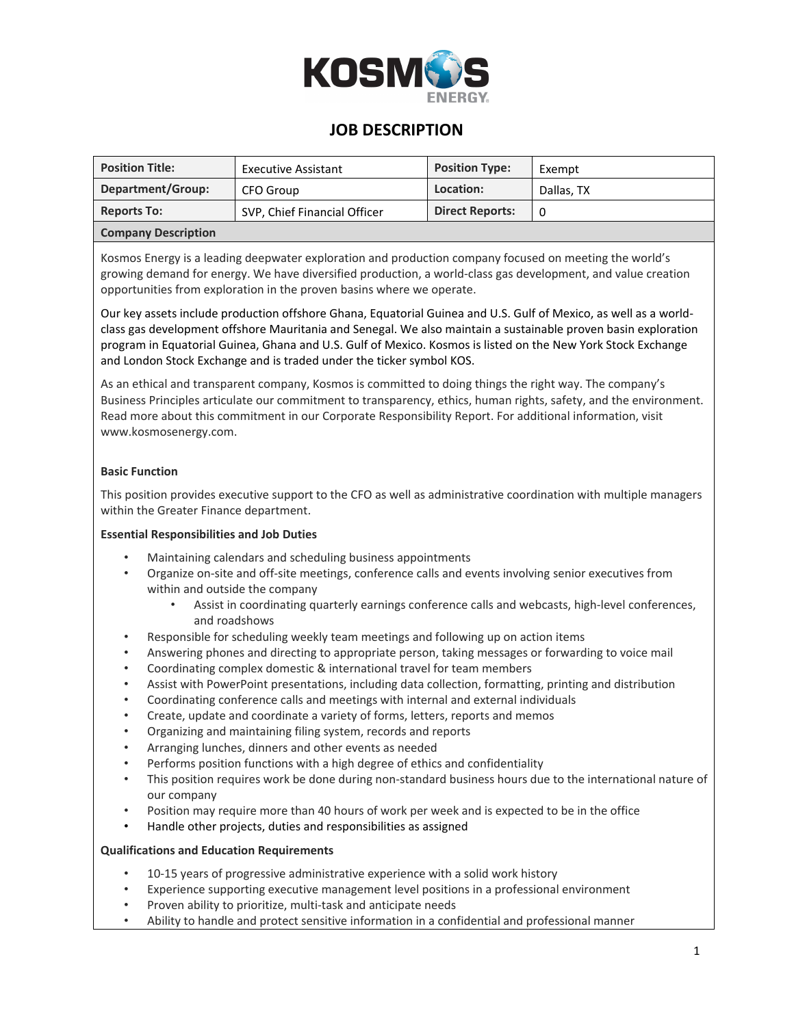

## **JOB DESCRIPTION**

| <b>Position Title:</b>     | <b>Executive Assistant</b>   | <b>Position Type:</b>  | Exempt     |  |
|----------------------------|------------------------------|------------------------|------------|--|
| Department/Group:          | CFO Group                    | Location:              | Dallas, TX |  |
| <b>Reports To:</b>         | SVP, Chief Financial Officer | <b>Direct Reports:</b> | 0          |  |
| <b>Company Description</b> |                              |                        |            |  |

Kosmos Energy is a leading deepwater exploration and production company focused on meeting the world's growing demand for energy. We have diversified production, a world-class gas development, and value creation opportunities from exploration in the proven basins where we operate.

Our key assets include production offshore Ghana, Equatorial Guinea and U.S. Gulf of Mexico, as well as a worldclass gas development offshore Mauritania and Senegal. We also maintain a sustainable proven basin exploration program in Equatorial Guinea, Ghana and U.S. Gulf of Mexico. Kosmos is listed on the New York Stock Exchange and London Stock Exchange and is traded under the ticker symbol KOS.

As an ethical and transparent company, Kosmos is committed to doing things the right way. The company's Business Principles articulate our commitment to transparency, ethics, human rights, safety, and the environment. Read more about this commitment in our Corporate Responsibility Report. For additional information, visit www.kosmosenergy.com.

#### **Basic Function**

This position provides executive support to the CFO as well as administrative coordination with multiple managers within the Greater Finance department.

#### **Essential Responsibilities and Job Duties**

- Maintaining calendars and scheduling business appointments
- Organize on-site and off-site meetings, conference calls and events involving senior executives from within and outside the company
	- Assist in coordinating quarterly earnings conference calls and webcasts, high-level conferences, and roadshows
- Responsible for scheduling weekly team meetings and following up on action items
- Answering phones and directing to appropriate person, taking messages or forwarding to voice mail
- Coordinating complex domestic & international travel for team members
- Assist with PowerPoint presentations, including data collection, formatting, printing and distribution
- Coordinating conference calls and meetings with internal and external individuals
- Create, update and coordinate a variety of forms, letters, reports and memos
- Organizing and maintaining filing system, records and reports
- Arranging lunches, dinners and other events as needed
- Performs position functions with a high degree of ethics and confidentiality
- This position requires work be done during non-standard business hours due to the international nature of our company
- Position may require more than 40 hours of work per week and is expected to be in the office
- Handle other projects, duties and responsibilities as assigned

#### **Qualifications and Education Requirements**

- 10-15 years of progressive administrative experience with a solid work history
- Experience supporting executive management level positions in a professional environment
- Proven ability to prioritize, multi-task and anticipate needs
- Ability to handle and protect sensitive information in a confidential and professional manner